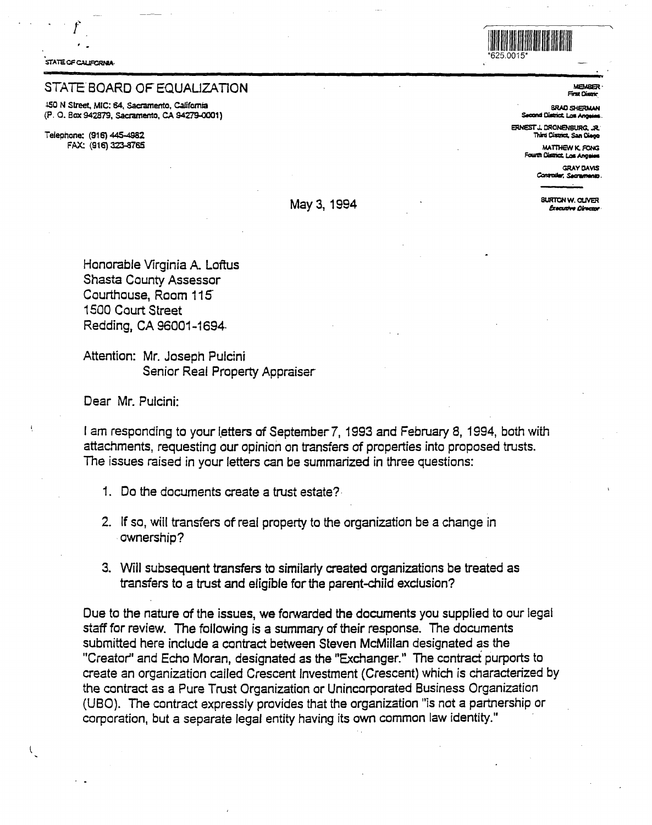STATE OF CALIFORNIA

 $\hat{r}$ 

## STATE BOARD OF EQUALIZATION

-150 N Street, MIC: **64, Sacramento,** caJifamia (P. 0. Box 942879, **Sacramento, CA 94279-0001)** 

**Telephone:** (916} 445-4982 FAX: (916) 323-8765



**MEMBe· FitstOillrir.** 

**BRA0 SHeRMAH s-idOialrict.Las,.,....** 

**ERNEST'** J. **CRONBIStJRG. JR. Thinl Cistric::, San a.** 

**MATTHEW K. FONG Fourth Olstrict, Los Angeles** 

**GRAYOAVIS Controller, Secretmento** 

**BURTON W. OLIVER**<br>
Burton W. OLIVER

Honorable Virginia A. Loftus Shasta County Assessor Courthouse, Room 115 1500 Court Street Redding, CA 96001-1694-

Attention: Mr. Joseph Pulcini Senior Real Property Appraiser

Dear Mr. Pulcini:

 $\mathcal{N}_{\mathcal{L}}$ 

I am responding to your letters of September 7, 1993 and February 8, 1994, both with attachments, requesting our opinion on transfers of properties into proposed trusts. The issues raised in your letters can be summarized in three questions:

- 1. Do the documents create a trust estate?
- 2. If so, will transfers of real property to the organization be a change in ownership?
- 3. Will subsequent transfers to similarly created organizations be treated as transfers to a trust and eligible for the parent-child exclusion?

Due to the nature of the issues, we forwarded the documents you supplied to our legal staff for review. The following is a summary of their response. The documents submitted here include a contract between Steven McMillan designated as the "Creator' and Echo Moran, designated as the "Exchanger." The contract purports to create an organization called Crescent Investment (Crescent) which is characterized by the contract as a Pure Trust Organization or Unincorporated Business Organization (USO). The contract expressly provides that the organization "is not a partnership or corporation, but a separate legal entity having its own common law identity."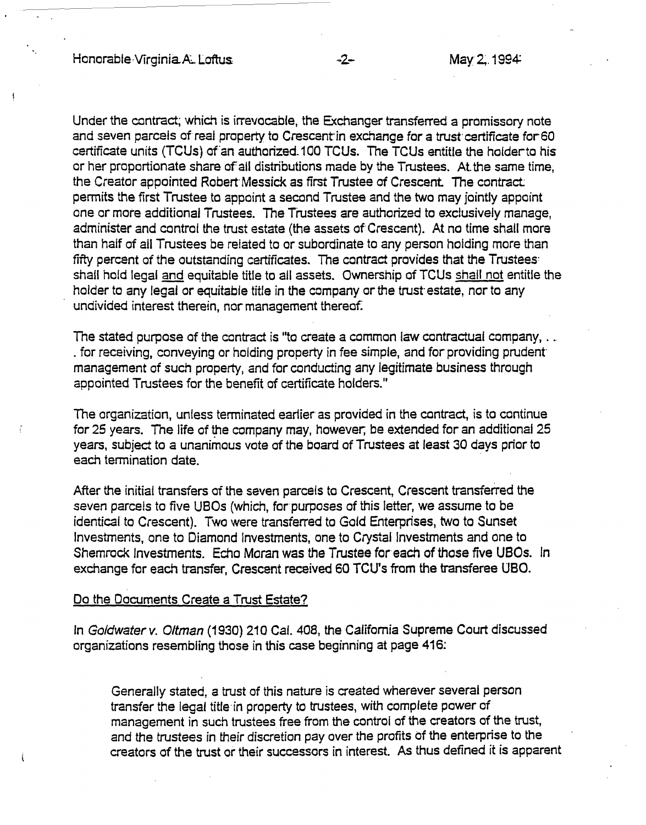Under the contract; which is irrevocable, the Exchanger transferred a promissory note and seven parcels of real property to Crescent in exchange for a trust certificate for 60 certificate units (TCUs) of an authorized.100 TCUs. The TCUs entitle the holder to his or her proportionate share of all distributions made by the Trustees. At the same time, the Creator appointed Robert Messick as first Trustee of Crescent. The contract: permits the first Trustee to appoint a second Trustee and the two may jointly appoint one or more additional Trustees. The Trustees are authorized to exclusively manage, administer and control the trust estate (the assets of Crescent). At no time shall more than half of all Trustees be related to or subordinate to any person holding more than fifty percent of the outstanding certificates. The contract provides that the Trustees: shall hold legal and equitable title to all assets. Ownership of TC Us shall not entitle the holder to any legal or equitable title in the company or the trust- estate, nor to any undivided interest therein, nor management thereof.

The stated purpose of the contract is "to create a common law contractual company, .. . for receiving, conveying or holding property in fee simple, and for providing prudent management of such property, and for conducting any legitimate business through appointed Trustees for the benefit of certificate holders."

The organization, unless terminated earlier as provided in the contract, is to continue for 25 years. The life of the company may, however; be extended for an additional 25 years, subject to a unanimous vote of the beard of Trustees at least 30 days prior to each termination date.

After the initial transfers of the seven parcels to Crescent, Crescent transferred the seven parcels to five UBOs (which, for purposes of this letter, we assume to be identical to Crescent). Two were transferred to Gold Enterprises, two to Sunset Investments, one to Diamond Investments, one to Crystal Investments and one to Shemrock Investments. Echo Moran was the Trustee for each of those five UBOs. In exchange for each transfer, Crescent received 60 TCU's from the transferee UBO.

## Do the Documents Create a Trust Estate?

In Goldwater v. Oltman (1930) 210 Cal. 408, the California Supreme Court discussed organizations resembling those in this case beginning at page 416:

Generally stated, a trust of this nature is created wherever several person transfer the legal title·in property to trustees, with complete power of management in such trustees free from the control of the creators of the trust, and the trustees in their discretion pay over the profits of the enterprise to the creators of the trust or their successors in interest. As thus defined it is apparent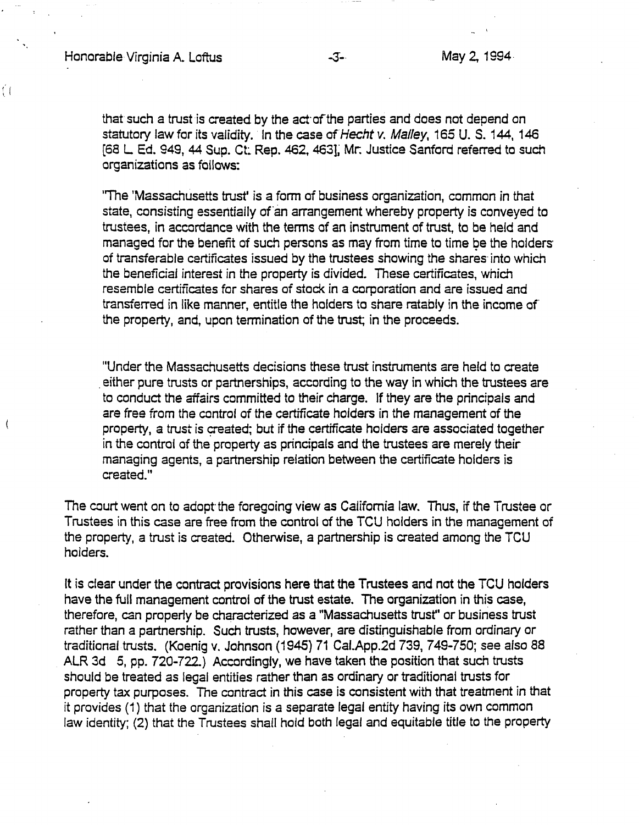$\left( \begin{array}{c} 1 \end{array} \right)$ 

that such a trust is created by the act·of the parties and does not depend on statutory law for its validity. In the case of Hecht v. Malley, 165 U. S. 144, 146 (68 L Ed. 949, 44 Sup. Ct Rep. 462, 463]; Mr: Justice Sanford referred to such organizations as follows:

''The 'Massachusetts trust' is a form of business organization, common in that state, consisting essentially of an arrangement whereby property is conveyed to trustees, in accordance with the terms of an instrument of trust, to be held and managed for the benefit of such persons as may from time to time be the holders of transferable certificates issued by the trustees showing the shares· into which the beneficial interest in the property is divided. These certificates, which resemble certificates for shares of stock in a corporation and are issued and transferred in like manner, entitle the holders to share ratably in the income of the property, and, upon termination of the trust; in the proceeds.

"Under the Massachusetts decisions these trust instruments are held to create . either pure trusts or partnerships, according to the way in which the trustees are to conduct the affairs committed to their charge. If they are the principals and are free from the control of the certificate holders in the management of the property, a trust is created; but if the certificate holders are associated together in the control of the property as principals and the trustees are merely their managing agents, a partnership relation between the certificate holders is created."

The court went on to adopt the foregoing view as California law. Thus, if the Trustee or Trustees in this case are free from the control of the TCU holders in the management of the property, a trust is created. Otherwise, a partnership is created among the TCU holders.

It is clear under the contract provisions here that the Trustees and not the TCU holders have the full management control of the trust estate. The organization in this case, therefore, can properly be characterized as a "Massachusetts trust" or business trust rather than a partnership. Such trusts, however, are distinguishable from ordinary or traditional trusts. (Koenig v. Johnson (1945) 71 Caf.App.2d 739, 7 49-750; see also 88 ALR 3d 5, pp. 720-722.) Accordingly, we have taken the position that such trusts should be treated as legal entities rather than as ordinary or traditional trusts for property tax purposes. The contract in this case is consistent with that treatment in that it provides (1) that the organization is a separate legal entity having its own common law identity; (2) that the Trustees shall hold both legal and equitable title to the property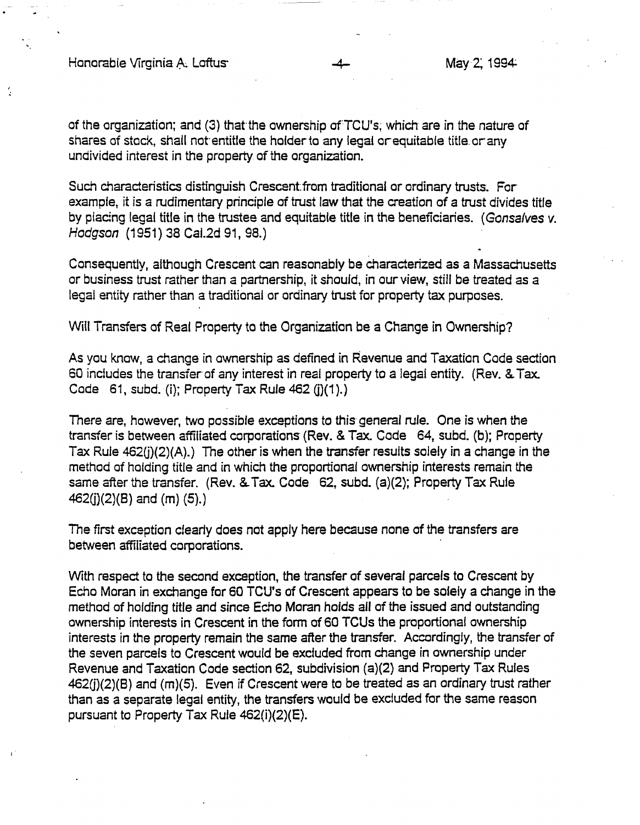Honorable Virginia A. Loftus- -4- MayZ: 1994

of the organization; and (3) that the ownership of TCU's; which are in the nature of shares of stock, shall not entitle the holder to any legal or equitable title or any undivided interest in the property of the organization.

Such characteristics distinguish Crescent from traditional or ordinary trusts. For example, it is a rudimentary principle of trust law that the creation of a trust divides title by placing legal title in the trustee and equitable title in the beneficiaries. ( Gonsalves v. Hodgson (1951) 38 Cal.2d 91, 98.)

Consequently, although Crescent can reasonably be characterized as a Massachusetts or business trust rather than a partnership, it should, in our view, still be treated as a legal entity rather than a traditional or ordinary trust for property tax purposes.

Will Transfers of Real Property to the Organization be a Change in Ownership?

As you know, a change in ownership as defined in Revenue and Taxation Code section 60 includes the transfer of any interest in real property to a legal entity. (Rev.&. Tax. Code 61, subd. (i); Property Tax Rule  $462$  (i)(1).)

There are, however, two possible exceptions to this general rule. One is when the transfer is between affiliated corporations (Rev. & Tax. Code 64, subd. (b); Property Tax Rule  $462(j)(2)(A)$ .) The other is when the transfer results solely in a change in the method of holding title and in which the proportional ownership interests remain the same after the transfer. (Rev. & Tax. Code 62, subd. (a)(2); Property Tax Rule  $462(j)(2)(B)$  and  $(m)(5)$ .

The first exception clearly does not apply here because none of the transfers are between affiliated corporations.

With respect to the second exception, the transfer of several parcels to Crescent by Echo Moran in exchange for 60 TCU's of Crescent appears to be solely a change in the method of holding title and since Echo Moran holds all of the issued and outstanding ownership interests in Crescent in the form of 60 TCUs the proportional ownership interests in the property remain the same after the transfer. Accordingly, the transfer of the seven parcels to Crescent would be excluded from change in ownership under Revenue and Taxation Code section 62, subdivision (a)(2) and Property Tax Rules  $462(j)(2)(B)$  and  $(m)(5)$ . Even if Crescent were to be treated as an ordinary trust rather than as a separate legal entity, the transfers would be excluded for the same reason pursuant to Property Tax Rule 462(i)(2)(E).